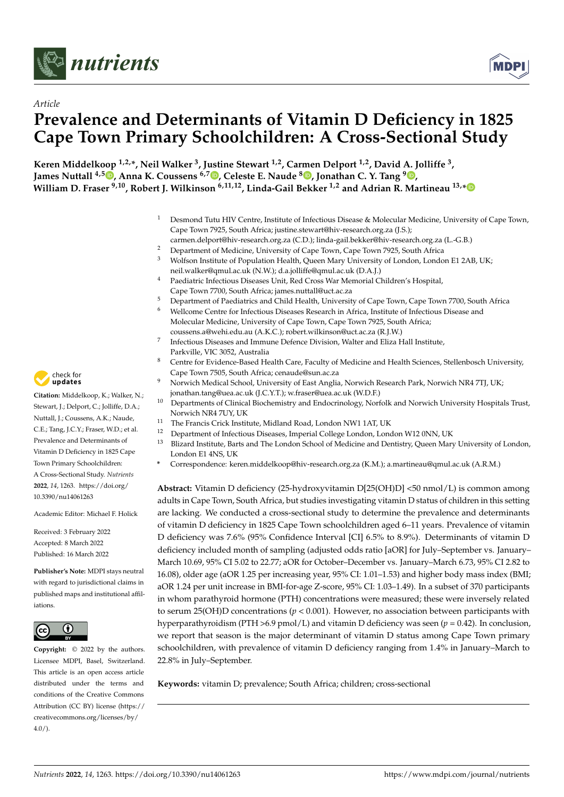



# *Article* **Prevalence and Determinants of Vitamin D Deficiency in 1825 Cape Town Primary Schoolchildren: A Cross-Sectional Study**

**Keren Middelkoop 1,2,\*, Neil Walker <sup>3</sup> , Justine Stewart 1,2, Carmen Delport 1,2, David A. Jolliffe <sup>3</sup> , James Nuttall 4,5 [,](https://orcid.org/0000-0002-9389-5880) Anna K. Coussens 6,7 [,](https://orcid.org/0000-0002-7086-2621) Celeste E. Naude <sup>8</sup> [,](https://orcid.org/0000-0002-9114-1452) Jonathan C. Y. Tang <sup>9</sup> [,](https://orcid.org/0000-0001-6305-6333) William D. Fraser 9,10, Robert J. Wilkinson 6,11,12, Linda-Gail Bekker 1,2 and Adrian R. Martineau 13,[\\*](https://orcid.org/0000-0001-5387-1721)**

- <sup>1</sup> Desmond Tutu HIV Centre, Institute of Infectious Disease & Molecular Medicine, University of Cape Town, Cape Town 7925, South Africa; justine.stewart@hiv-research.org.za (J.S.); carmen.delport@hiv-research.org.za (C.D.); linda-gail.bekker@hiv-research.org.za (L.-G.B.)
- <sup>2</sup> Department of Medicine, University of Cape Town, Cape Town 7925, South Africa
- <sup>3</sup> Wolfson Institute of Population Health, Queen Mary University of London, London E1 2AB, UK; neil.walker@qmul.ac.uk (N.W.); d.a.jolliffe@qmul.ac.uk (D.A.J.)
- <sup>4</sup> Paediatric Infectious Diseases Unit, Red Cross War Memorial Children's Hospital, Cape Town 7700, South Africa; james.nuttall@uct.ac.za
- <sup>5</sup> Department of Paediatrics and Child Health, University of Cape Town, Cape Town 7700, South Africa
- <sup>6</sup> Wellcome Centre for Infectious Diseases Research in Africa, Institute of Infectious Disease and Molecular Medicine, University of Cape Town, Cape Town 7925, South Africa;
- coussens.a@wehi.edu.au (A.K.C.); robert.wilkinson@uct.ac.za (R.J.W.)
- 7 Infectious Diseases and Immune Defence Division, Walter and Eliza Hall Institute, Parkville, VIC 3052, Australia
- <sup>8</sup> Centre for Evidence-Based Health Care, Faculty of Medicine and Health Sciences, Stellenbosch University, Cape Town 7505, South Africa; cenaude@sun.ac.za
- <sup>9</sup> Norwich Medical School, University of East Anglia, Norwich Research Park, Norwich NR4 7TJ, UK; jonathan.tang@uea.ac.uk (J.C.Y.T.); w.fraser@uea.ac.uk (W.D.F.)
- <sup>10</sup> Departments of Clinical Biochemistry and Endocrinology, Norfolk and Norwich University Hospitals Trust, Norwich NR4 7UY, UK
- <sup>11</sup> The Francis Crick Institute, Midland Road, London NW1 1AT, UK
- <sup>12</sup> Department of Infectious Diseases, Imperial College London, London W12 0NN, UK
- <sup>13</sup> Blizard Institute, Barts and The London School of Medicine and Dentistry, Queen Mary University of London, London E1 4NS, UK
- **\*** Correspondence: keren.middelkoop@hiv-research.org.za (K.M.); a.martineau@qmul.ac.uk (A.R.M.)

**Abstract:** Vitamin D deficiency (25-hydroxyvitamin D[25(OH)D] <50 nmol/L) is common among adults in Cape Town, South Africa, but studies investigating vitamin D status of children in this setting are lacking. We conducted a cross-sectional study to determine the prevalence and determinants of vitamin D deficiency in 1825 Cape Town schoolchildren aged 6–11 years. Prevalence of vitamin D deficiency was 7.6% (95% Confidence Interval [CI] 6.5% to 8.9%). Determinants of vitamin D deficiency included month of sampling (adjusted odds ratio [aOR] for July–September vs. January– March 10.69, 95% CI 5.02 to 22.77; aOR for October–December vs. January–March 6.73, 95% CI 2.82 to 16.08), older age (aOR 1.25 per increasing year, 95% CI: 1.01–1.53) and higher body mass index (BMI; aOR 1.24 per unit increase in BMI-for-age Z-score, 95% CI: 1.03–1.49). In a subset of 370 participants in whom parathyroid hormone (PTH) concentrations were measured; these were inversely related to serum 25(OH)D concentrations (*p* < 0.001). However, no association between participants with hyperparathyroidism (PTH >6.9 pmol/L) and vitamin D deficiency was seen (*p* = 0.42). In conclusion, we report that season is the major determinant of vitamin D status among Cape Town primary schoolchildren, with prevalence of vitamin D deficiency ranging from 1.4% in January–March to 22.8% in July–September.

**Keywords:** vitamin D; prevalence; South Africa; children; cross-sectional



**Citation:** Middelkoop, K.; Walker, N.; Stewart, J.; Delport, C.; Jolliffe, D.A.; Nuttall, J.; Coussens, A.K.; Naude, C.E.; Tang, J.C.Y.; Fraser, W.D.; et al. Prevalence and Determinants of Vitamin D Deficiency in 1825 Cape Town Primary Schoolchildren: A Cross-Sectional Study. *Nutrients* **2022**, *14*, 1263. [https://doi.org/](https://doi.org/10.3390/nu14061263) [10.3390/nu14061263](https://doi.org/10.3390/nu14061263)

Academic Editor: Michael F. Holick

Received: 3 February 2022 Accepted: 8 March 2022 Published: 16 March 2022

**Publisher's Note:** MDPI stays neutral with regard to jurisdictional claims in published maps and institutional affiliations.



**Copyright:** © 2022 by the authors. Licensee MDPI, Basel, Switzerland. This article is an open access article distributed under the terms and conditions of the Creative Commons Attribution (CC BY) license [\(https://](https://creativecommons.org/licenses/by/4.0/) [creativecommons.org/licenses/by/](https://creativecommons.org/licenses/by/4.0/) 4.0/).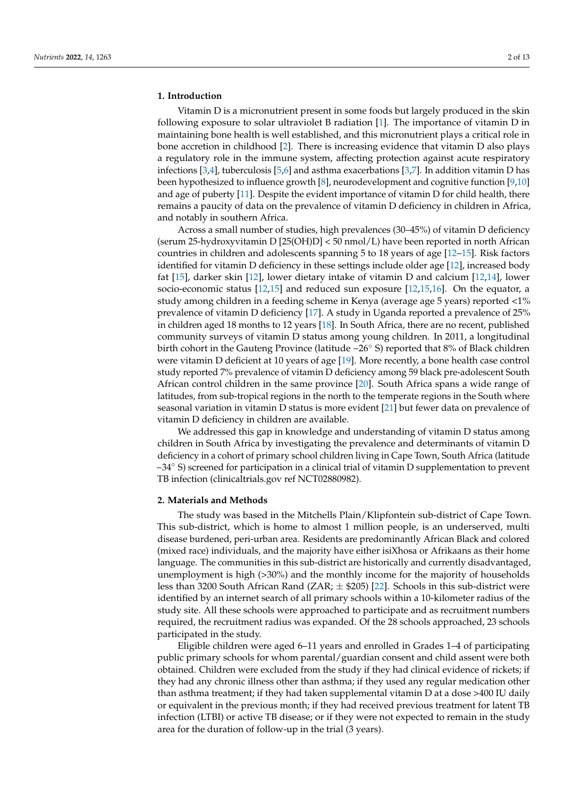# **1. Introduction**

Vitamin D is a micronutrient present in some foods but largely produced in the skin following exposure to solar ultraviolet B radiation [\[1\]](#page-11-0). The importance of vitamin D in maintaining bone health is well established, and this micronutrient plays a critical role in bone accretion in childhood [\[2\]](#page-11-1). There is increasing evidence that vitamin D also plays a regulatory role in the immune system, affecting protection against acute respiratory infections [\[3](#page-11-2)[,4\]](#page-11-3), tuberculosis [\[5](#page-11-4)[,6\]](#page-11-5) and asthma exacerbations [\[3](#page-11-2)[,7\]](#page-11-6). In addition vitamin D has been hypothesized to influence growth [\[8\]](#page-11-7), neurodevelopment and cognitive function [\[9,](#page-12-0)[10\]](#page-12-1) and age of puberty [\[11\]](#page-12-2). Despite the evident importance of vitamin D for child health, there remains a paucity of data on the prevalence of vitamin D deficiency in children in Africa, and notably in southern Africa.

Across a small number of studies, high prevalences (30–45%) of vitamin D deficiency (serum 25-hydroxyvitamin D [25(OH)D] < 50 nmol/L) have been reported in north African countries in children and adolescents spanning 5 to 18 years of age [\[12](#page-12-3)[–15\]](#page-12-4). Risk factors identified for vitamin D deficiency in these settings include older age [\[12\]](#page-12-3), increased body fat [\[15\]](#page-12-4), darker skin [\[12\]](#page-12-3), lower dietary intake of vitamin D and calcium [\[12,](#page-12-3)[14\]](#page-12-5), lower socio-economic status [\[12,](#page-12-3)[15\]](#page-12-4) and reduced sun exposure [\[12,](#page-12-3)[15,](#page-12-4)[16\]](#page-12-6). On the equator, a study among children in a feeding scheme in Kenya (average age 5 years) reported <1% prevalence of vitamin D deficiency [\[17\]](#page-12-7). A study in Uganda reported a prevalence of 25% in children aged 18 months to 12 years [\[18\]](#page-12-8). In South Africa, there are no recent, published community surveys of vitamin D status among young children. In 2011, a longitudinal birth cohort in the Gauteng Province (latitude ~26◦ S) reported that 8% of Black children were vitamin D deficient at 10 years of age [\[19\]](#page-12-9). More recently, a bone health case control study reported 7% prevalence of vitamin D deficiency among 59 black pre-adolescent South African control children in the same province [\[20\]](#page-12-10). South Africa spans a wide range of latitudes, from sub-tropical regions in the north to the temperate regions in the South where seasonal variation in vitamin D status is more evident [\[21\]](#page-12-11) but fewer data on prevalence of vitamin D deficiency in children are available.

We addressed this gap in knowledge and understanding of vitamin D status among children in South Africa by investigating the prevalence and determinants of vitamin D deficiency in a cohort of primary school children living in Cape Town, South Africa (latitude  $\sim$ 34 $\degree$  S) screened for participation in a clinical trial of vitamin D supplementation to prevent TB infection (clinicaltrials.gov ref NCT02880982).

## **2. Materials and Methods**

The study was based in the Mitchells Plain/Klipfontein sub-district of Cape Town. This sub-district, which is home to almost 1 million people, is an underserved, multi disease burdened, peri-urban area. Residents are predominantly African Black and colored (mixed race) individuals, and the majority have either isiXhosa or Afrikaans as their home language. The communities in this sub-district are historically and currently disadvantaged, unemployment is high (>30%) and the monthly income for the majority of households less than 3200 South African Rand ( $ZAR$ ;  $\pm$  \$205) [\[22\]](#page-12-12). Schools in this sub-district were identified by an internet search of all primary schools within a 10-kilometer radius of the study site. All these schools were approached to participate and as recruitment numbers required, the recruitment radius was expanded. Of the 28 schools approached, 23 schools participated in the study.

Eligible children were aged 6–11 years and enrolled in Grades 1–4 of participating public primary schools for whom parental/guardian consent and child assent were both obtained. Children were excluded from the study if they had clinical evidence of rickets; if they had any chronic illness other than asthma; if they used any regular medication other than asthma treatment; if they had taken supplemental vitamin D at a dose >400 IU daily or equivalent in the previous month; if they had received previous treatment for latent TB infection (LTBI) or active TB disease; or if they were not expected to remain in the study area for the duration of follow-up in the trial (3 years).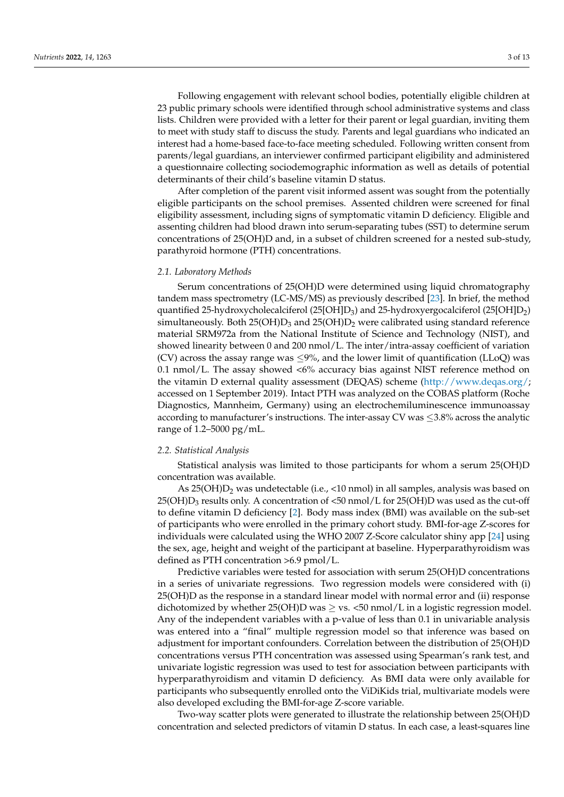Following engagement with relevant school bodies, potentially eligible children at 23 public primary schools were identified through school administrative systems and class lists. Children were provided with a letter for their parent or legal guardian, inviting them to meet with study staff to discuss the study. Parents and legal guardians who indicated an interest had a home-based face-to-face meeting scheduled. Following written consent from parents/legal guardians, an interviewer confirmed participant eligibility and administered a questionnaire collecting sociodemographic information as well as details of potential determinants of their child's baseline vitamin D status.

After completion of the parent visit informed assent was sought from the potentially eligible participants on the school premises. Assented children were screened for final eligibility assessment, including signs of symptomatic vitamin D deficiency. Eligible and assenting children had blood drawn into serum-separating tubes (SST) to determine serum concentrations of 25(OH)D and, in a subset of children screened for a nested sub-study, parathyroid hormone (PTH) concentrations.

### *2.1. Laboratory Methods*

Serum concentrations of 25(OH)D were determined using liquid chromatography tandem mass spectrometry (LC-MS/MS) as previously described [\[23\]](#page-12-13). In brief, the method quantified 25-hydroxycholecalciferol (25[OH]D<sub>3</sub>) and 25-hydroxyergocalciferol (25[OH]D<sub>2</sub>) simultaneously. Both  $25(OH)D_3$  and  $25(OH)D_2$  were calibrated using standard reference material SRM972a from the National Institute of Science and Technology (NIST), and showed linearity between 0 and 200 nmol/L. The inter/intra-assay coefficient of variation (CV) across the assay range was  $\leq 9\%$ , and the lower limit of quantification (LLoQ) was 0.1 nmol/L. The assay showed <6% accuracy bias against NIST reference method on the vitamin D external quality assessment (DEQAS) scheme [\(http://www.deqas.org/;](http://www.deqas.org/) accessed on 1 September 2019). Intact PTH was analyzed on the COBAS platform (Roche Diagnostics, Mannheim, Germany) using an electrochemiluminescence immunoassay according to manufacturer's instructions. The inter-assay CV was  $\leq$ 3.8% across the analytic range of 1.2–5000 pg/mL.

### *2.2. Statistical Analysis*

Statistical analysis was limited to those participants for whom a serum 25(OH)D concentration was available.

As 25(OH) $D_2$  was undetectable (i.e., <10 nmol) in all samples, analysis was based on  $25(OH)D_3$  results only. A concentration of <50 nmol/L for  $25(OH)D$  was used as the cut-off to define vitamin D deficiency [\[2\]](#page-11-1). Body mass index (BMI) was available on the sub-set of participants who were enrolled in the primary cohort study. BMI-for-age Z-scores for individuals were calculated using the WHO 2007 Z-Score calculator shiny app [\[24\]](#page-12-14) using the sex, age, height and weight of the participant at baseline. Hyperparathyroidism was defined as PTH concentration >6.9 pmol/L.

Predictive variables were tested for association with serum 25(OH)D concentrations in a series of univariate regressions. Two regression models were considered with (i) 25(OH)D as the response in a standard linear model with normal error and (ii) response dichotomized by whether  $25(OH)D$  was  $>$  vs.  $\lt 50$  nmol/L in a logistic regression model. Any of the independent variables with a p-value of less than 0.1 in univariable analysis was entered into a "final" multiple regression model so that inference was based on adjustment for important confounders. Correlation between the distribution of 25(OH)D concentrations versus PTH concentration was assessed using Spearman's rank test, and univariate logistic regression was used to test for association between participants with hyperparathyroidism and vitamin D deficiency. As BMI data were only available for participants who subsequently enrolled onto the ViDiKids trial, multivariate models were also developed excluding the BMI-for-age Z-score variable.

Two-way scatter plots were generated to illustrate the relationship between 25(OH)D concentration and selected predictors of vitamin D status. In each case, a least-squares line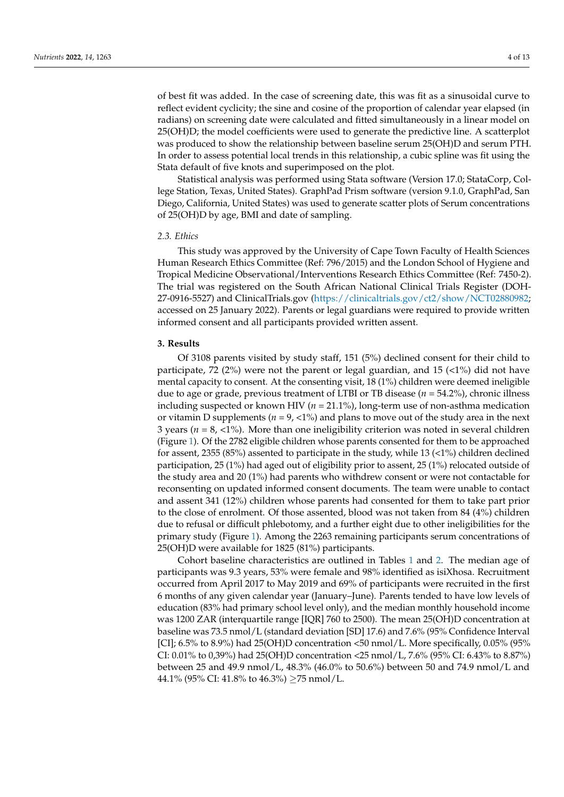of best fit was added. In the case of screening date, this was fit as a sinusoidal curve to reflect evident cyclicity; the sine and cosine of the proportion of calendar year elapsed (in radians) on screening date were calculated and fitted simultaneously in a linear model on 25(OH)D; the model coefficients were used to generate the predictive line. A scatterplot was produced to show the relationship between baseline serum 25(OH)D and serum PTH. In order to assess potential local trends in this relationship, a cubic spline was fit using the Stata default of five knots and superimposed on the plot.

Statistical analysis was performed using Stata software (Version 17.0; StataCorp, College Station, Texas, United States). GraphPad Prism software (version 9.1.0, GraphPad, San Diego, California, United States) was used to generate scatter plots of Serum concentrations of 25(OH)D by age, BMI and date of sampling.

### *2.3. Ethics*

This study was approved by the University of Cape Town Faculty of Health Sciences Human Research Ethics Committee (Ref: 796/2015) and the London School of Hygiene and Tropical Medicine Observational/Interventions Research Ethics Committee (Ref: 7450-2). The trial was registered on the South African National Clinical Trials Register (DOH-27-0916-5527) and ClinicalTrials.gov [\(https://clinicaltrials.gov/ct2/show/NCT02880982;](https://clinicaltrials.gov/ct2/show/NCT02880982) accessed on 25 January 2022). Parents or legal guardians were required to provide written informed consent and all participants provided written assent.

# **3. Results**

Of 3108 parents visited by study staff, 151 (5%) declined consent for their child to participate, 72 (2%) were not the parent or legal guardian, and 15 ( $\langle 1\% \rangle$  did not have mental capacity to consent. At the consenting visit, 18 (1%) children were deemed ineligible due to age or grade, previous treatment of LTBI or TB disease (*n* = 54.2%), chronic illness including suspected or known HIV (*n* = 21.1%), long-term use of non-asthma medication or vitamin D supplements (*n* = 9, <1%) and plans to move out of the study area in the next 3 years ( $n = 8, \langle 1\degree\rangle$ ). More than one ineligibility criterion was noted in several children (Figure [1\)](#page-4-0). Of the 2782 eligible children whose parents consented for them to be approached for assent, 2355 (85%) assented to participate in the study, while 13 (<1%) children declined participation, 25 (1%) had aged out of eligibility prior to assent, 25 (1%) relocated outside of the study area and 20 (1%) had parents who withdrew consent or were not contactable for reconsenting on updated informed consent documents. The team were unable to contact and assent 341 (12%) children whose parents had consented for them to take part prior to the close of enrolment. Of those assented, blood was not taken from 84 (4%) children due to refusal or difficult phlebotomy, and a further eight due to other ineligibilities for the primary study (Figure [1\)](#page-4-0). Among the 2263 remaining participants serum concentrations of 25(OH)D were available for 1825 (81%) participants.

Cohort baseline characteristics are outlined in Tables [1](#page-6-0) and [2.](#page-7-0) The median age of participants was 9.3 years, 53% were female and 98% identified as isiXhosa. Recruitment occurred from April 2017 to May 2019 and 69% of participants were recruited in the first 6 months of any given calendar year (January–June). Parents tended to have low levels of education (83% had primary school level only), and the median monthly household income was 1200 ZAR (interquartile range [IQR] 760 to 2500). The mean 25(OH)D concentration at baseline was 73.5 nmol/L (standard deviation [SD] 17.6) and 7.6% (95% Confidence Interval [CI]; 6.5% to 8.9%) had 25(OH)D concentration <50 nmol/L. More specifically, 0.05% (95% CI: 0.01% to 0,39%) had 25(OH)D concentration <25 nmol/L, 7.6% (95% CI: 6.43% to 8.87%) between 25 and 49.9 nmol/L, 48.3% (46.0% to 50.6%) between 50 and 74.9 nmol/L and 44.1% (95% CI: 41.8% to 46.3%)  $\geq$ 75 nmol/L.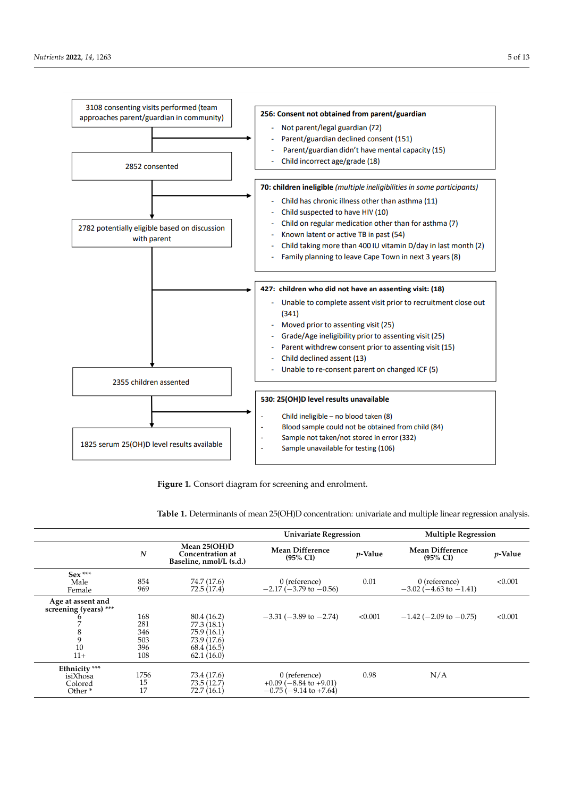<span id="page-4-0"></span>

**Figure 1.** Consort diagram for screening and enrolment.

|                                                                     |                                        |                                                                                      | <b>Univariate Regression</b>                                                      |                 | <b>Multiple Regression</b>                        |            |
|---------------------------------------------------------------------|----------------------------------------|--------------------------------------------------------------------------------------|-----------------------------------------------------------------------------------|-----------------|---------------------------------------------------|------------|
|                                                                     | N                                      | Mean 25(OH)D<br>Concentration at<br>Baseline, nmol/L (s.d.)                          | <b>Mean Difference</b><br>$(95\% \text{ CI})$                                     | <i>p</i> -Value | <b>Mean Difference</b><br>$(95\% \text{ CI})$     | $p$ -Value |
| $Sex***$<br>Male<br>Female                                          | 854<br>969                             | 74.7 (17.6)<br>72.5 (17.4)                                                           | 0 (reference)<br>$-2.17$ ( $-3.79$ to $-0.56$ )                                   | 0.01            | $0$ (reference)<br>$-3.02$ ( $-4.63$ to $-1.41$ ) | < 0.001    |
| Age at assent and<br>screening (years) ***<br>8<br>9<br>10<br>$11+$ | 168<br>281<br>346<br>503<br>396<br>108 | 80.4 (16.2)<br>77.3 (18.1)<br>75.9(16.1)<br>73.9 (17.6)<br>68.4 (16.5)<br>62.1(16.0) | $-3.31$ ( $-3.89$ to $-2.74$ )                                                    | < 0.001         | $-1.42$ ( $-2.09$ to $-0.75$ )                    | < 0.001    |
| Ethnicity ***<br>isiXhosa<br>Colored<br>Other <sup>*</sup>          | 1756<br>15<br>17                       | 73.4 (17.6)<br>73.5(12.7)<br>72.7(16.1)                                              | 0 (reference)<br>$+0.09$ ( $-8.84$ to $+9.01$ )<br>$-0.75$ ( $-9.14$ to $+7.64$ ) | 0.98            | N/A                                               |            |

**Table 1.** Determinants of mean 25(OH)D concentration: univariate and multiple linear regression analysis.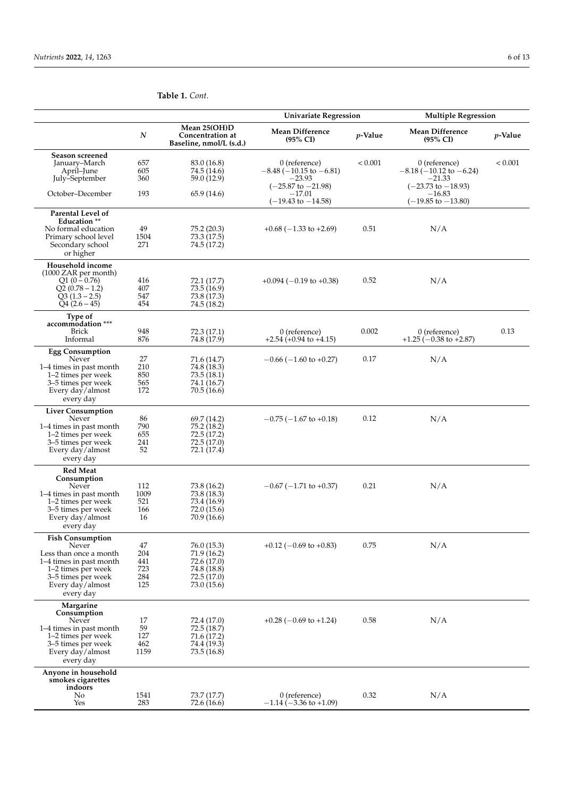|                                                                                                                                                                    |                                       |                                                                                       | <b>Univariate Regression</b>                                                         |            | <b>Multiple Regression</b>                                                    |         |
|--------------------------------------------------------------------------------------------------------------------------------------------------------------------|---------------------------------------|---------------------------------------------------------------------------------------|--------------------------------------------------------------------------------------|------------|-------------------------------------------------------------------------------|---------|
|                                                                                                                                                                    | N                                     | Mean 25(OH)D<br><b>Concentration at</b><br>Baseline, nmol/L (s.d.)                    | <b>Mean Difference</b><br>$(95\% \text{ CI})$                                        | $p$ -Value | <b>Mean Difference</b><br>$(95\% \text{ CI})$                                 | p-Value |
| Season screened<br>January–March<br>April-June                                                                                                                     | 657<br>605                            | 83.0 (16.8)<br>74.5 (14.6)                                                            | 0 (reference)<br>$-8.48(-10.15$ to $-6.81$ )                                         | < 0.001    | 0 (reference)<br>$-8.18$ ( $-10.12$ to $-6.24$ )<br>–21.33                    | < 0.001 |
| July–September<br>October-December                                                                                                                                 | 360<br>193                            | 59.0 (12.9)<br>65.9 (14.6)                                                            | -23.93<br>$(-25.87 \text{ to } -21.98)$<br>$-17.01$<br>$(-19.43 \text{ to } -14.58)$ |            | $(-23.73 \text{ to } -18.93)$<br>$^{-16.83}$<br>$(-19.85 \text{ to } -13.80)$ |         |
| <b>Parental Level of</b><br>Education **<br>No formal education<br>Primary school level<br>Secondary school<br>or higher                                           | 49<br>1504<br>271                     | 75.2 (20.3)<br>73.3 (17.5)<br>74.5 (17.2)                                             | $+0.68$ ( $-1.33$ to $+2.69$ )                                                       | 0.51       | N/A                                                                           |         |
| Household income<br>$(1000 ZAR$ per month)<br>$Q1(0-0.76)$<br>$Q2(0.78-1.2)$<br>$Q3(1.3-2.5)$<br>$Q4(2.6-45)$                                                      | 416<br>407<br>547<br>454              | 72.1 (17.7)<br>73.5 (16.9)<br>73.8 (17.3)<br>74.5 (18.2)                              | $+0.094$ (-0.19 to +0.38)                                                            | 0.52       | N/A                                                                           |         |
| Type of<br>accommodation ***<br><b>Brick</b><br>Informal                                                                                                           | 948<br>876                            | 72.3 (17.1)<br>74.8 (17.9)                                                            | 0 (reference)<br>$+2.54 (+0.94 to +4.15)$                                            | 0.002      | $0$ (reference)<br>$+1.25(-0.38 \text{ to } +2.87)$                           | 0.13    |
| <b>Egg Consumption</b><br>Never<br>1–4 times in past month<br>1–2 times per week<br>3-5 times per week<br>Every day/almost<br>every day                            | 27<br>210<br>850<br>565<br>172        | 71.6 (14.7)<br>74.8 (18.3)<br>73.5 (18.1)<br>74.1 (16.7)<br>70.5(16.6)                | $-0.66$ ( $-1.60$ to $+0.27$ )                                                       | 0.17       | N/A                                                                           |         |
| <b>Liver Consumption</b><br>Never<br>1–4 times in past month<br>1–2 times per week<br>3-5 times per week<br>Every day/almost<br>every day                          | 86<br>790<br>655<br>241<br>52         | 69.7 (14.2)<br>75.2 (18.2)<br>72.5 (17.2)<br>72.5 (17.0)<br>72.1 (17.4)               | $-0.75$ ( $-1.67$ to $+0.18$ )                                                       | 0.12       | N/A                                                                           |         |
| <b>Red Meat</b><br>Consumption<br>Never<br>1–4 times in past month<br>1–2 times per week<br>3–5 times per week<br>Every day/almost<br>every day                    | 112<br>1009<br>521<br>166<br>16       | 73.8 (16.2)<br>73.8 (18.3)<br>73.4 (16.9)<br>72.0 (15.6)<br>70.9 (16.6)               | $-0.67$ ( $-1.71$ to $+0.37$ )                                                       | 0.21       | N/A                                                                           |         |
| <b>Fish Consumption</b><br>Never<br>Less than once a month<br>1–4 times in past month<br>1–2 times per week<br>3–5 times per week<br>Every day/almost<br>every day | 47<br>204<br>441<br>723<br>284<br>125 | 76.0 (15.3)<br>71.9 (16.2)<br>72.6 (17.0)<br>74.8 (18.8)<br>72.5(17.0)<br>73.0 (15.6) | $+0.12$ (-0.69 to +0.83)                                                             | 0.75       | N/A                                                                           |         |
| Margarine<br>Consumption<br>Never<br>1–4 times in past month<br>1–2 times per week<br>3–5 times per week<br>Every day/almost<br>every day                          | 17<br>59<br>127<br>462<br>1159        | 72.4 (17.0)<br>72.5 (18.7)<br>71.6 (17.2)<br>74.4 (19.3)<br>73.5(16.8)                | $+0.28$ (-0.69 to +1.24)                                                             | 0.58       | N/A                                                                           |         |
| Anyone in household<br>smokes cigarettes<br>indoors<br>No<br>Yes                                                                                                   | 1541<br>283                           | 73.7 (17.7)<br>72.6 (16.6)                                                            | 0 (reference)<br>$-1.14 (-3.36 \text{ to } +1.09)$                                   | 0.32       | N/A                                                                           |         |

## **Table 1.** *Cont.*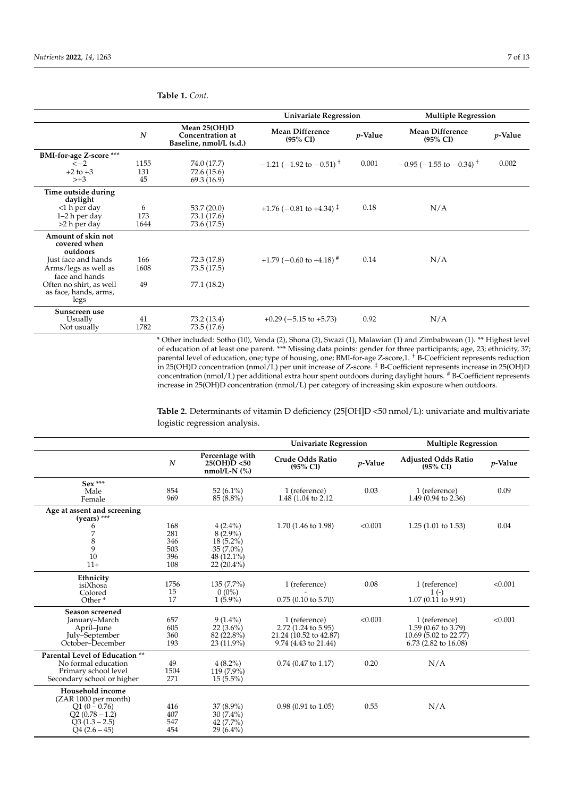|                                                          |                  |                                                             | <b>Univariate Regression</b>                  |            | <b>Multiple Regression</b>                    |                 |
|----------------------------------------------------------|------------------|-------------------------------------------------------------|-----------------------------------------------|------------|-----------------------------------------------|-----------------|
|                                                          | $\boldsymbol{N}$ | Mean 25(OH)D<br>Concentration at<br>Baseline, nmol/L (s.d.) | <b>Mean Difference</b><br>$(95\% \text{ CI})$ | $p$ -Value | <b>Mean Difference</b><br>$(95\% \text{ CI})$ | <i>p</i> -Value |
| <b>BMI-for-age Z-score</b> ***                           |                  |                                                             |                                               |            |                                               |                 |
| $\leftarrow$ 2                                           | 1155             | 74.0 (17.7)                                                 | $-1.21$ (-1.92 to -0.51) <sup>+</sup>         | 0.001      | $-0.95$ ( $-1.55$ to $-0.34$ ) <sup>+</sup>   | 0.002           |
| $+2$ to $+3$                                             | 131              | 72.6 (15.6)                                                 |                                               |            |                                               |                 |
| $> +3$                                                   | 45               | 69.3 (16.9)                                                 |                                               |            |                                               |                 |
| Time outside during<br>daylight                          |                  |                                                             |                                               |            |                                               |                 |
| $<$ 1 h per day                                          | 6                | 53.7(20.0)                                                  | $+1.76$ (-0.81 to +4.34) <sup>‡</sup>         | 0.18       | N/A                                           |                 |
| $1-2$ h per day                                          | 173              | 73.1 (17.6)                                                 |                                               |            |                                               |                 |
| $>2$ h per day                                           | 1644             | 73.6 (17.5)                                                 |                                               |            |                                               |                 |
| Amount of skin not<br>covered when<br>outdoors           |                  |                                                             |                                               |            |                                               |                 |
| Just face and hands                                      | 166              | 72.3 (17.8)                                                 | $+1.79$ (-0.60 to +4.18) <sup>#</sup>         | 0.14       | N/A                                           |                 |
| Arms/legs as well as<br>face and hands                   | 1608             | 73.5 (17.5)                                                 |                                               |            |                                               |                 |
| Often no shirt, as well<br>as face, hands, arms,<br>legs | 49               | 77.1 (18.2)                                                 |                                               |            |                                               |                 |
| Sunscreen use<br>Usually<br>Not usually                  | 41<br>1782       | 73.2 (13.4)<br>73.5 (17.6)                                  | $+0.29$ ( $-5.15$ to $+5.73$ )                | 0.92       | N/A                                           |                 |

<span id="page-6-0"></span>**Table 1.** *Cont.*

\* Other included: Sotho (10), Venda (2), Shona (2), Swazi (1), Malawian (1) and Zimbabwean (1). \*\* Highest level of education of at least one parent. \*\*\* Missing data points: gender for three participants; age, 23; ethnicity, 37; parental level of education, one; type of housing, one; BMI-for-age Z-score,1. † B-Coefficient represents reduction in 25(OH)D concentration (nmol/L) per unit increase of Z-score. ‡ B-Coefficient represents increase in 25(OH)D concentration (nmol/L) per additional extra hour spent outdoors during daylight hours. # B-Coefficient represents increase in 25(OH)D concentration (nmol/L) per category of increasing skin exposure when outdoors.

**Table 2.** Determinants of vitamin D deficiency (25[OH]D <50 nmol/L): univariate and multivariate logistic regression analysis.

|                                                                                                                     |                                        |                                                                                      | <b>Univariate Regression</b>                                                           |            | <b>Multiple Regression</b>                                                              |            |
|---------------------------------------------------------------------------------------------------------------------|----------------------------------------|--------------------------------------------------------------------------------------|----------------------------------------------------------------------------------------|------------|-----------------------------------------------------------------------------------------|------------|
|                                                                                                                     | $\boldsymbol{N}$                       | Percentage with<br>25(OH)D < 50<br>$nmol/L-N$ $\left(\frac{9}{6}\right)$             | <b>Crude Odds Ratio</b><br>$(95\% \text{ CI})$                                         | $p$ -Value | <b>Adjusted Odds Ratio</b><br>$(95\% \text{ CI})$                                       | $p$ -Value |
| $Sex***$<br>Male<br>Female                                                                                          | 854<br>969                             | 52 $(6.1\%)$<br>85 (8.8%)                                                            | 1 (reference)<br>1.48 (1.04 to 2.12)                                                   | 0.03       | 1 (reference)<br>1.49 (0.94 to 2.36)                                                    | 0.09       |
| Age at assent and screening<br>$(years)$ ***                                                                        |                                        |                                                                                      |                                                                                        |            |                                                                                         |            |
| 6<br>7<br>8<br>9<br>10<br>$11+$                                                                                     | 168<br>281<br>346<br>503<br>396<br>108 | $4(2.4\%)$<br>$8(2.9\%)$<br>$18(5.2\%)$<br>$35(7.0\%)$<br>48 (12.1%)<br>$22(20.4\%)$ | 1.70 (1.46 to 1.98)                                                                    | < 0.001    | $1.25(1.01 \text{ to } 1.53)$                                                           | 0.04       |
| Ethnicity<br>isiXhosa<br>Colored<br>Other <sup>*</sup>                                                              | 1756<br>15<br>17                       | $135(7.7\%)$<br>$0(0\%)$<br>$1(5.9\%)$                                               | 1 (reference)<br>$0.75$ (0.10 to 5.70)                                                 | 0.08       | 1 (reference)<br>$1(-)$<br>1.07 (0.11 to 9.91)                                          | < 0.001    |
| Season screened<br>January-March<br>April–June<br>July-September<br>October–December                                | 657<br>605<br>360<br>193               | $9(1.4\%)$<br>$22(3.6\%)$<br>82 (22.8%)<br>$23(11.9\%)$                              | 1 (reference)<br>2.72 (1.24 to 5.95)<br>21.24 (10.52 to 42.87)<br>9.74 (4.43 to 21.44) | < 0.001    | 1 (reference)<br>1.59 (0.67 to 3.79)<br>10.69 (5.02 to 22.77)<br>$6.73$ (2.82 to 16.08) | < 0.001    |
| Parental Level of Education **<br>No formal education<br>Primary school level<br>Secondary school or higher         | 49<br>1504<br>271                      | $4(8.2\%)$<br>$119(7.9\%)$<br>$15(5.5\%)$                                            | $0.74$ (0.47 to 1.17)                                                                  | 0.20       | N/A                                                                                     |            |
| Household income<br>(ZAR 1000 per month)<br>$Q1 (0 - 0.76)$<br>$Q2 (0.78 - 1.2)$<br>$Q3(1.3 - 2.5)$<br>$O4(2.6-45)$ | 416<br>407<br>547<br>454               | $37(8.9\%)$<br>$30(7.4\%)$<br>42 (7.7%)<br>$29(6.4\%)$                               | $0.98(0.91 \text{ to } 1.05)$                                                          | 0.55       | N/A                                                                                     |            |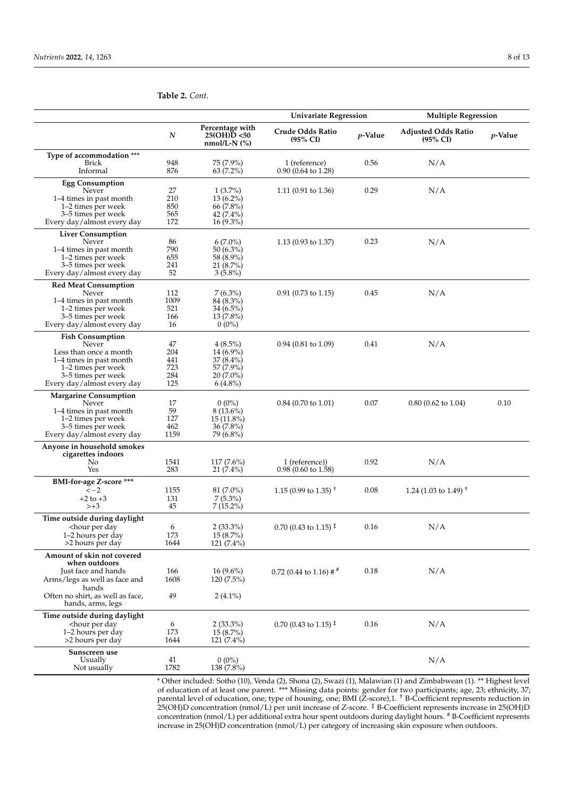|                                                                                                                                                                                                                        |            |                                                   | <b>Univariate Regression</b>                           |            | <b>Multiple Regression</b>                        |         |
|------------------------------------------------------------------------------------------------------------------------------------------------------------------------------------------------------------------------|------------|---------------------------------------------------|--------------------------------------------------------|------------|---------------------------------------------------|---------|
|                                                                                                                                                                                                                        | N          | Percentage with<br>25(OH)D < 50<br>nmol/L-N $(%)$ | Crude Odds Ratio<br>$(95\% \text{ CI})$                | $p$ -Value | <b>Adjusted Odds Ratio</b><br>$(95\% \text{ CI})$ | p-Value |
| Type of accommodation ***                                                                                                                                                                                              |            |                                                   |                                                        |            |                                                   |         |
| <b>Brick</b>                                                                                                                                                                                                           | 948        | 75 (7.9%)                                         | 1 (reference)                                          | 0.56       | N/A                                               |         |
| Informal                                                                                                                                                                                                               | 876        | $63(7.2\%)$                                       | $0.90(0.64 \text{ to } 1.28)$                          |            |                                                   |         |
| <b>Egg Consumption</b>                                                                                                                                                                                                 |            |                                                   |                                                        |            |                                                   |         |
| Never                                                                                                                                                                                                                  | 27         | $1(3.7\%)$                                        | 1.11 (0.91 to 1.36)                                    | 0.29       | N/A                                               |         |
| 1–4 times in past month                                                                                                                                                                                                | 210        | $13(6.2\%)$                                       |                                                        |            |                                                   |         |
| 1–2 times per week                                                                                                                                                                                                     | 850        | 66 (7.8%)                                         |                                                        |            |                                                   |         |
| 3–5 times per week                                                                                                                                                                                                     | 565        | 42 (7.4%)                                         |                                                        |            |                                                   |         |
| Every day/almost every day                                                                                                                                                                                             | 172        | $16(9.3\%)$                                       |                                                        |            |                                                   |         |
| <b>Liver Consumption</b>                                                                                                                                                                                               |            |                                                   |                                                        |            |                                                   |         |
| Never                                                                                                                                                                                                                  | 86         | $6(7.0\%)$                                        | 1.13 (0.93 to 1.37)                                    | 0.23       | N/A                                               |         |
| 1–4 times in past month                                                                                                                                                                                                | 790        | 50 (6.3%)                                         |                                                        |            |                                                   |         |
| 1–2 times per week<br>3–5 times per week                                                                                                                                                                               | 655<br>241 | 58 (8.9%)<br>21(8.7%)                             |                                                        |            |                                                   |         |
| Every day/almost every day                                                                                                                                                                                             | 52         | $3(5.8\%)$                                        |                                                        |            |                                                   |         |
|                                                                                                                                                                                                                        |            |                                                   |                                                        |            |                                                   |         |
| <b>Red Meat Consumption</b><br>Never                                                                                                                                                                                   | 112        | $7(6.3\%)$                                        | $0.91$ (0.73 to 1.15)                                  | 0.45       | N/A                                               |         |
| 1–4 times in past month                                                                                                                                                                                                | 1009       | 84 (8.3%)                                         |                                                        |            |                                                   |         |
| 1–2 times per week                                                                                                                                                                                                     | 521        | 34 (6.5%)                                         |                                                        |            |                                                   |         |
| 3–5 times per week                                                                                                                                                                                                     | 166        | $13(7.8\%)$                                       |                                                        |            |                                                   |         |
| Every day/almost every day                                                                                                                                                                                             | 16         | $0(0\%)$                                          |                                                        |            |                                                   |         |
| <b>Fish Consumption</b>                                                                                                                                                                                                |            |                                                   |                                                        |            |                                                   |         |
| Never                                                                                                                                                                                                                  | 47         | $4(8.5\%)$                                        | 0.94 (0.81 to 1.09)                                    | 0.41       | N/A                                               |         |
| Less than once a month                                                                                                                                                                                                 | 204        | 14 (6.9%)                                         |                                                        |            |                                                   |         |
| 1–4 times in past month                                                                                                                                                                                                | 441        | 37 (8.4%)                                         |                                                        |            |                                                   |         |
| 1–2 times per week                                                                                                                                                                                                     | 723        | 57 (7.9%)                                         |                                                        |            |                                                   |         |
| 3–5 times per week<br>Every day/almost every day                                                                                                                                                                       | 284<br>125 | $20(7.0\%)$<br>$6(4.8\%)$                         |                                                        |            |                                                   |         |
|                                                                                                                                                                                                                        |            |                                                   |                                                        |            |                                                   |         |
| <b>Margarine Consumption</b><br>Never                                                                                                                                                                                  | 17         | $0(0\%)$                                          | $0.84$ (0.70 to 1.01)                                  | 0.07       |                                                   | 0.10    |
| 1–4 times in past month                                                                                                                                                                                                | 59         | $8(13.6\%)$                                       |                                                        |            | $0.80$ (0.62 to 1.04)                             |         |
| 1–2 times per week                                                                                                                                                                                                     | 127        | $15(11.8\%)$                                      |                                                        |            |                                                   |         |
| 3–5 times per week                                                                                                                                                                                                     | 462        | 36(7.8%)                                          |                                                        |            |                                                   |         |
| Every day/almost every day                                                                                                                                                                                             | 1159       | 79 (6.8%)                                         |                                                        |            |                                                   |         |
| Anyone in household smokes                                                                                                                                                                                             |            |                                                   |                                                        |            |                                                   |         |
| cigarettes indoors                                                                                                                                                                                                     |            |                                                   |                                                        |            |                                                   |         |
| No                                                                                                                                                                                                                     | 1541       | $117(7.6\%)$                                      | 1 (reference))                                         | 0.92       | N/A                                               |         |
| Yes                                                                                                                                                                                                                    | 283        | $21(7.4\%)$                                       | $0.98$ (0.60 to 1.58)                                  |            |                                                   |         |
| BMI-for-age Z-score ***                                                                                                                                                                                                |            |                                                   |                                                        |            |                                                   |         |
| $\leftarrow$ 2                                                                                                                                                                                                         | 1155       | $81(7.0\%)$                                       | 1.15 (0.99 to 1.35) <sup><math>+</math></sup>          | 0.08       | 1.24 (1.03 to 1.49) <sup>T</sup>                  |         |
| $+2$ to $+3$                                                                                                                                                                                                           | 131        | $7(5.3\%)$                                        |                                                        |            |                                                   |         |
| $> +3$                                                                                                                                                                                                                 | 45         | $7(15.2\%)$                                       |                                                        |            |                                                   |         |
| Time outside during daylight                                                                                                                                                                                           |            |                                                   |                                                        |            |                                                   |         |
| <hour day<="" per="" td=""><td>6</td><td><math>2(33.3\%)</math></td><td><math>0.70</math> (0.43 to 1.15)<sup><math>\ddagger</math></sup></td><td>0.16</td><td>N/A</td><td></td></hour>                                 | 6          | $2(33.3\%)$                                       | $0.70$ (0.43 to 1.15) <sup><math>\ddagger</math></sup> | 0.16       | N/A                                               |         |
| 1-2 hours per day                                                                                                                                                                                                      | 173        | 15 (8.7%)                                         |                                                        |            |                                                   |         |
| >2 hours per day                                                                                                                                                                                                       | 1644       | 121 (7.4%)                                        |                                                        |            |                                                   |         |
| Amount of skin not covered                                                                                                                                                                                             |            |                                                   |                                                        |            |                                                   |         |
| when outdoors                                                                                                                                                                                                          |            |                                                   |                                                        |            |                                                   |         |
| Just face and hands                                                                                                                                                                                                    | 166        | $16(9.6\%)$                                       | 0.72 (0.44 to 1.16) $\#$ <sup>#</sup>                  | 0.18       | N/A                                               |         |
| Arms/legs as well as face and                                                                                                                                                                                          | 1608       | 120 (7.5%)                                        |                                                        |            |                                                   |         |
| hands<br>Often no shirt, as well as face,                                                                                                                                                                              | 49         | $2(4.1\%)$                                        |                                                        |            |                                                   |         |
| hands, arms, legs                                                                                                                                                                                                      |            |                                                   |                                                        |            |                                                   |         |
|                                                                                                                                                                                                                        |            |                                                   |                                                        |            |                                                   |         |
| Time outside during daylight<br><hour day<="" per="" td=""><td>6</td><td><math>2(33.3\%)</math></td><td><math>0.70</math> (0.43 to 1.15)<sup><math>\ddagger</math></sup></td><td>0.16</td><td>N/A</td><td></td></hour> | 6          | $2(33.3\%)$                                       | $0.70$ (0.43 to 1.15) <sup><math>\ddagger</math></sup> | 0.16       | N/A                                               |         |
| 1–2 hours per day                                                                                                                                                                                                      | 173        | $15(8.7\%)$                                       |                                                        |            |                                                   |         |
| >2 hours per day                                                                                                                                                                                                       | 1644       | 121 (7.4%)                                        |                                                        |            |                                                   |         |
| Sunscreen use                                                                                                                                                                                                          |            |                                                   |                                                        |            |                                                   |         |
| Usually                                                                                                                                                                                                                | 41         | $0(0\%)$                                          |                                                        |            | N/A                                               |         |
| Not usually                                                                                                                                                                                                            | 1782       | 138 (7.8%)                                        |                                                        |            |                                                   |         |
|                                                                                                                                                                                                                        |            |                                                   |                                                        |            |                                                   |         |

of education of at least one parent. \*\*\* Missing data points: gender for two participants; age, 23; ethnicity, 37; parental level of education, one; type of housing, one; BMI (Z-score),1. † B-Coefficient represents reduction in 25(OH)D concentration (nmol/L) per unit increase of Z-score. ‡ B-Coefficient represents increase in 25(OH)D concentration (nmol/L) per additional extra hour spent outdoors during daylight hours. # B-Coefficient represents increase in 25(OH)D concentration (nmol/L) per category of increasing skin exposure when outdoors.

\* Other included: Sotho (10), Venda (2), Shona (2), Swazi (1), Malawian (1) and Zimbabwean (1). \*\* Highest level

## <span id="page-7-0"></span>**Table 2.** *Cont.*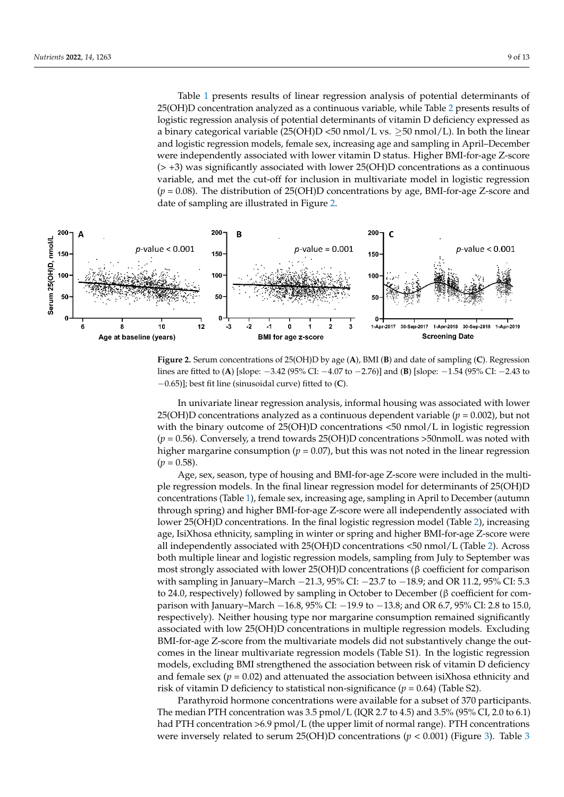Table [1](#page-6-0) presents results of linear regression analysis of potential determinants of 25(OH)D concentration analyzed as a continuous variable, while Table [2](#page-7-0) presents results of logistic regression analysis of potential determinants of vitamin D deficiency expressed as a binary categorical variable  $(25(OH)D < 50$  nmol/L vs.  $\geq 50$  nmol/L). In both the linear and logistic regression models, female sex, increasing age and sampling in April–December were independently associated with lower vitamin D status. Higher BMI-for-age Z-score (> +3) was significantly associated with lower 25(OH)D concentrations as a continuous variable, and met the cut-off for inclusion in multivariate model in logistic regression (*p* = 0.08). The distribution of 25(OH)D concentrations by age, BMI-for-age Z-score and date of sampling are illustrated in Figure [2.](#page-8-0)

<span id="page-8-0"></span>

**Figure 2.** Serum concentrations of 25(OH)D by age (A), BMI (B) and date of sampling (C). Regression lines are fitted to (A) [slope:  $-3.42$  (95% CI:  $-4.07$  to  $-2.76$ )] and (B) [slope:  $-1.54$  (95% CI:  $-2.43$  to to −0.65)]; best fit line (sinusoidal curve) fitted to (**C**). −0.65)]; best fit line (sinusoidal curve) fitted to (**C**).

25(OH)D concentrations analyzed as a continuous dependent variable ( $p = 0.002$ ), but not with the binary outcome of 25(OH)D concentrations <50 nmol/L in logistic regression  $(p = 0.56)$ . Conversely, a trend towards 25(OH)D concentrations >50 nmolL was noted with  $p = 0.56$ ). Conversely, a trend towards 25(OH)D concentrations >50 nmolL was noted with higher margarine consumption (*p* = 0.07), but this was not noted in the linear regression  $(n - 0.58)$ In univariate linear regression analysis, informal housing was associated with lower  $(p = 0.58)$ .

<sup>4</sup> Age, sex, season, type of housing and BMI-for-age Z-score were included in the multiple regression models. In the final linear regression model for determinants of 25(OH)D concentrations (Table 1), female sex, increasing age, sampling in April to December (autumn through spring) and higher BMI-for-age Z-score were all independently associated with lower 25(OH)D concentrations. In the final logistic regression model (Table [2\)](#page-7-0), increasing<br>age, Jai Shasa athetistic agencling in aviaten an agging and higher PMI for age 7 aggressive all independently associated with  $25(OH)D$  concentrations  $\leq 50 \text{ nmol/L}$  (Table [2\)](#page-7-0). Across both multiple linear and logistic regression models, sampling from July to September was most strongly associated with lower 25(OH)D concentrations (β coefficient for comparison with sampling in January–March  $-21.3$ , 95% CI:  $-23.7$  to  $-18.9$ ; and OR 11.2, 95% CI: 5.3 to 24.0, respectively) followed by sampling in October to December (β coefficient for comparison with January–March −16.8, 95% CI: −19.9 to −13.8; and OR 6.7, 95% CI: 2.8 to 15.0, parison with January–March −16.8, 95% CI: −19.9 to −13.8; and OR 6.7, 95% CI: 2.8 to 15.0, for comparison with sample in March 51.3, 95% CI: −21.3, 95% CI: −23.7 to −23.7 to −23.7 to −23.7 to −23.7 to −23.7 to −23.7 to −23.7 to −23.0 to −23.0 to −23.0 to −23.0 to −23.0 to −23.0 to −23.0 to −23.0 to −23.0 to −23 BMI-for-age Z-score from the multivariate models did not substantively change the outcomes in the linear multivariate regression models (Table S1). In the logistic regression models, excluding BMI strengthened the association between risk of vitamin D deficiency and female sex ( $p = 0.02$ ) and attenuated the association between isiXhosa ethnicity and  $\frac{1}{2}$ age, IsiXhosa ethnicity, sampling in winter or spring and higher BMI-for-age Z-score were respectively). Neither housing type nor margarine consumption remained significantly risk of vitamin D deficiency to statistical non-significance ( $p = 0.64$ ) (Table S2).

Excluding B defectively to substantial not significance  $(\gamma = 0.04)$  (table 52).<br>Parathyroid hormone concentrations were available for a subset of 370 participants. The median PTH concentration was 3.5 pmol/L (IQR 2.7 to 4.5) and 3.5% (95% CI, 2.0 to 6.1) had PTH concentration >6.9 pmol/L (the upper limit of normal range). PTH concentrations were inversely related to serum 25(OH)D concentrations ( $p < 0.001$ ) (Figure 3). Table 3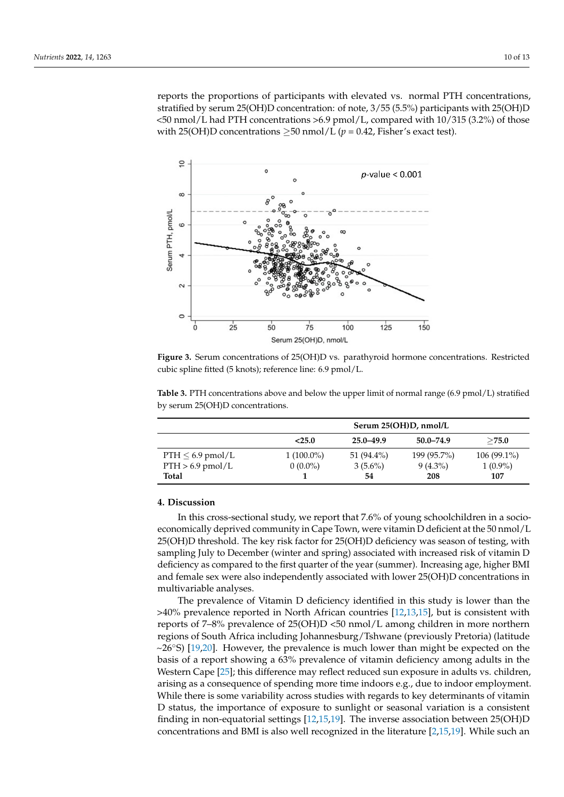reports the proportions of participants with elevated vs. normal PTH concentrations, stratified by serum 25(OH)D concentration: of note, 3/55 (5.5%) participants with 25(OH)D <50 nmol/L had PTH concentrations >6.9 pmol/L, compared with 10/315 (3.2%) of those with 25(OH)D concentrations  $\geq$ 50 nmol/L ( $p = 0.42$ , Fisher's exact test).

<span id="page-9-0"></span>

cubic spline fitted (5 knots); reference line: 6.9 pmol/L. **Figure 3.** Serum concentrations of 25(OH)D vs. parathyroid hormone concentrations. Restricted

|                       | Serum 25(OH)D, nmol/L |            |             |               |  |  |
|-----------------------|-----------------------|------------|-------------|---------------|--|--|
|                       | < 25.0                | 25.0-49.9  | 50.0-74.9   | >75.0         |  |  |
| $PTH \leq 6.9$ pmol/L | $1(100.0\%)$          | 51 (94.4%) | 199 (95.7%) | $106(99.1\%)$ |  |  |
| $PTH > 6.9$ pmol/L    | $0(0.0\%)$            | $3(5.6\%)$ | $9(4.3\%)$  | $1(0.9\%)$    |  |  |
| <b>Total</b>          |                       | 54         | 208         | 107           |  |  |

<span id="page-9-1"></span>by serum 25(OH)D concentrations. **Table 3.** PTH concentrations above and below the upper limit of normal range (6.9 pmol/L) stratified

# **Total 1 54 208 107 4. Discussion**

**4. Discussion**  economically deprived community in Cape Town, were vitamin D deficient at the 50 nmol/L 25(OTI)D differently. The key fisk factor for 25(OTI)D deficiency was season of lesting, with<br>sampling July to December (winter and spring) associated with increased risk of vitamin D deficiency as compared to the first quarter of the year (summer). Increasing age, higher BMI and female sex were also independently associated with lower 25(OH)D concentrations in multivariable analyses. The December of and spring and spring associated with increase risk of an analyses. In this cross-sectional study, we report that 7.6% of young schoolchildren in a socio-25(OH)D threshold. The key risk factor for 25(OH)D deficiency was season of testing, with

The prevalence of Vitamin D deficiency identified in this study is lower than the  $>40\%$  prevalence reported in North African countries [\[12,](#page-12-3)[13,](#page-12-15)[15\]](#page-12-4), but is consistent with  $\frac{1}{2}$ reports of 7–0% prevalence of 25(OTI)D <50 filliof/E among emitter in more notified<br>regions of South Africa including Johannesburg/Tshwane (previously Pretoria) (latitude  $~26°$ S) [\[19](#page-12-9)[,20\]](#page-12-10). However, the prevalence is much lower than might be expected on the basis of a report showing a 63% prevalence of vitamin deficiency among adults in the Western Cape [25]; this difference may reflect reduced sun exposure in adults vs. children, arising as a consequence of spending more time indoors e.g., due to indoor employment. While there is some variability across studies with regards to key determinants of vitamin<br>Delating the basis of a spectrum of a problem in the basis of vitaminants of vitamin  $\overline{B}$  status, the importance of exposure to statust of settional variation is a consistent finding in non-equatorial settings [\[12,](#page-12-3)[15,](#page-12-4)[19\]](#page-12-9). The inverse association between 25(OH)D concentrations and BMI is also well recognized in the literature [\[2,](#page-11-1)[15,](#page-12-4)[19\]](#page-12-9). While such an reports of 7–8% prevalence of 25(OH)D <50 nmol/L among children in more northern D status, the importance of exposure to sunlight or seasonal variation is a consistent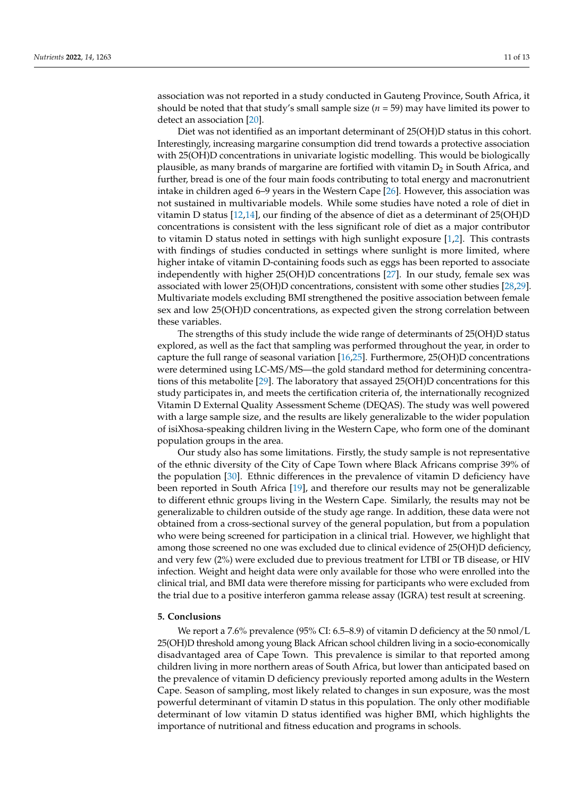association was not reported in a study conducted in Gauteng Province, South Africa, it should be noted that that study's small sample size  $(n = 59)$  may have limited its power to detect an association [\[20\]](#page-12-10).

Diet was not identified as an important determinant of 25(OH)D status in this cohort. Interestingly, increasing margarine consumption did trend towards a protective association with 25(OH)D concentrations in univariate logistic modelling. This would be biologically plausible, as many brands of margarine are fortified with vitamin  $D_2$  in South Africa, and further, bread is one of the four main foods contributing to total energy and macronutrient intake in children aged 6–9 years in the Western Cape [\[26\]](#page-12-17). However, this association was not sustained in multivariable models. While some studies have noted a role of diet in vitamin D status [\[12,](#page-12-3)[14\]](#page-12-5), our finding of the absence of diet as a determinant of 25(OH)D concentrations is consistent with the less significant role of diet as a major contributor to vitamin D status noted in settings with high sunlight exposure [\[1](#page-11-0)[,2\]](#page-11-1). This contrasts with findings of studies conducted in settings where sunlight is more limited, where higher intake of vitamin D-containing foods such as eggs has been reported to associate independently with higher 25(OH)D concentrations [\[27\]](#page-12-18). In our study, female sex was associated with lower 25(OH)D concentrations, consistent with some other studies [\[28](#page-12-19)[,29\]](#page-12-20). Multivariate models excluding BMI strengthened the positive association between female sex and low 25(OH)D concentrations, as expected given the strong correlation between these variables.

The strengths of this study include the wide range of determinants of 25(OH)D status explored, as well as the fact that sampling was performed throughout the year, in order to capture the full range of seasonal variation [\[16](#page-12-6)[,25\]](#page-12-16). Furthermore, 25(OH)D concentrations were determined using LC-MS/MS—the gold standard method for determining concentrations of this metabolite [\[29\]](#page-12-20). The laboratory that assayed 25(OH)D concentrations for this study participates in, and meets the certification criteria of, the internationally recognized Vitamin D External Quality Assessment Scheme (DEQAS). The study was well powered with a large sample size, and the results are likely generalizable to the wider population of isiXhosa-speaking children living in the Western Cape, who form one of the dominant population groups in the area.

Our study also has some limitations. Firstly, the study sample is not representative of the ethnic diversity of the City of Cape Town where Black Africans comprise 39% of the population [\[30\]](#page-12-21). Ethnic differences in the prevalence of vitamin D deficiency have been reported in South Africa [\[19\]](#page-12-9), and therefore our results may not be generalizable to different ethnic groups living in the Western Cape. Similarly, the results may not be generalizable to children outside of the study age range. In addition, these data were not obtained from a cross-sectional survey of the general population, but from a population who were being screened for participation in a clinical trial. However, we highlight that among those screened no one was excluded due to clinical evidence of 25(OH)D deficiency, and very few (2%) were excluded due to previous treatment for LTBI or TB disease, or HIV infection. Weight and height data were only available for those who were enrolled into the clinical trial, and BMI data were therefore missing for participants who were excluded from the trial due to a positive interferon gamma release assay (IGRA) test result at screening.

# **5. Conclusions**

We report a 7.6% prevalence (95% CI: 6.5–8.9) of vitamin D deficiency at the 50 nmol/L 25(OH)D threshold among young Black African school children living in a socio-economically disadvantaged area of Cape Town. This prevalence is similar to that reported among children living in more northern areas of South Africa, but lower than anticipated based on the prevalence of vitamin D deficiency previously reported among adults in the Western Cape. Season of sampling, most likely related to changes in sun exposure, was the most powerful determinant of vitamin D status in this population. The only other modifiable determinant of low vitamin D status identified was higher BMI, which highlights the importance of nutritional and fitness education and programs in schools.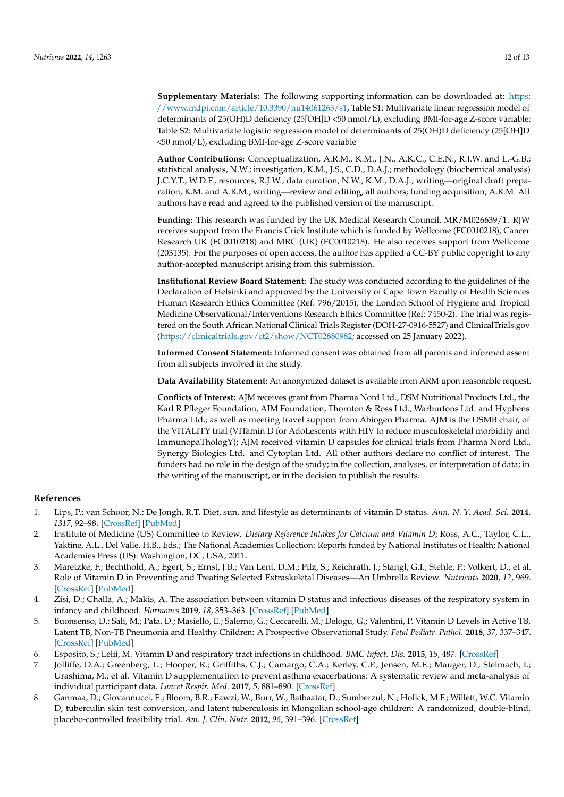**Supplementary Materials:** The following supporting information can be downloaded at: [https:](https://www.mdpi.com/article/10.3390/nu14061263/s1) [//www.mdpi.com/article/10.3390/nu14061263/s1,](https://www.mdpi.com/article/10.3390/nu14061263/s1) Table S1: Multivariate linear regression model of determinants of 25(OH)D deficiency (25[OH]D <50 nmol/L), excluding BMI-for-age Z-score variable; Table S2: Multivariate logistic regression model of determinants of 25(OH)D deficiency (25[OH]D <50 nmol/L), excluding BMI-for-age Z-score variable

**Author Contributions:** Conceptualization, A.R.M., K.M., J.N., A.K.C., C.E.N., R.J.W. and L.-G.B.; statistical analysis, N.W.; investigation, K.M., J.S., C.D., D.A.J.; methodology (biochemical analysis) J.C.Y.T., W.D.F., resources, R.J.W.; data curation, N.W., K.M., D.A.J.; writing—original draft preparation, K.M. and A.R.M.; writing—review and editing, all authors; funding acquisition, A.R.M. All authors have read and agreed to the published version of the manuscript.

**Funding:** This research was funded by the UK Medical Research Council, MR/M026639/1. RJW receives support from the Francis Crick Institute which is funded by Wellcome (FC0010218), Cancer Research UK (FC0010218) and MRC (UK) (FC0010218). He also receives support from Wellcome (203135). For the purposes of open access, the author has applied a CC-BY public copyright to any author-accepted manuscript arising from this submission.

**Institutional Review Board Statement:** The study was conducted according to the guidelines of the Declaration of Helsinki and approved by the University of Cape Town Faculty of Health Sciences Human Research Ethics Committee (Ref: 796/2015), the London School of Hygiene and Tropical Medicine Observational/Interventions Research Ethics Committee (Ref: 7450-2). The trial was registered on the South African National Clinical Trials Register (DOH-27-0916-5527) and ClinicalTrials.gov [\(https://clinicaltrials.gov/ct2/show/NCT02880982;](https://clinicaltrials.gov/ct2/show/NCT02880982) accessed on 25 January 2022).

**Informed Consent Statement:** Informed consent was obtained from all parents and informed assent from all subjects involved in the study.

**Data Availability Statement:** An anonymized dataset is available from ARM upon reasonable request.

**Conflicts of Interest:** AJM receives grant from Pharma Nord Ltd., DSM Nutritional Products Ltd., the Karl R Pfleger Foundation, AIM Foundation, Thornton & Ross Ltd., Warburtons Ltd. and Hyphens Pharma Ltd.; as well as meeting travel support from Abiogen Pharma. AJM is the DSMB chair, of the VITALITY trial (VITamin D for AdoLescents with HIV to reduce musculoskeletal morbidity and ImmunopaThologY); AJM received vitamin D capsules for clinical trials from Pharma Nord Ltd., Synergy Biologics Ltd. and Cytoplan Ltd. All other authors declare no conflict of interest. The funders had no role in the design of the study; in the collection, analyses, or interpretation of data; in the writing of the manuscript, or in the decision to publish the results.

# **References**

- <span id="page-11-0"></span>1. Lips, P.; van Schoor, N.; De Jongh, R.T. Diet, sun, and lifestyle as determinants of vitamin D status. *Ann. N. Y. Acad. Sci.* **2014**, *1317*, 92–98. [\[CrossRef\]](http://doi.org/10.1111/nyas.12443) [\[PubMed\]](http://www.ncbi.nlm.nih.gov/pubmed/24814938)
- <span id="page-11-1"></span>2. Institute of Medicine (US) Committee to Review. *Dietary Reference Intakes for Calcium and Vitamin D*; Ross, A.C., Taylor, C.L., Yaktine, A.L., Del Valle, H.B., Eds.; The National Academies Collection: Reports funded by National Institutes of Health; National Academies Press (US): Washington, DC, USA, 2011.
- <span id="page-11-2"></span>3. Maretzke, F.; Bechthold, A.; Egert, S.; Ernst, J.B.; Van Lent, D.M.; Pilz, S.; Reichrath, J.; Stangl, G.I.; Stehle, P.; Volkert, D.; et al. Role of Vitamin D in Preventing and Treating Selected Extraskeletal Diseases—An Umbrella Review. *Nutrients* **2020**, *12*, 969. [\[CrossRef\]](http://doi.org/10.3390/nu12040969) [\[PubMed\]](http://www.ncbi.nlm.nih.gov/pubmed/32244496)
- <span id="page-11-3"></span>4. Zisi, D.; Challa, A.; Makis, A. The association between vitamin D status and infectious diseases of the respiratory system in infancy and childhood. *Hormones* **2019**, *18*, 353–363. [\[CrossRef\]](http://doi.org/10.1007/s42000-019-00155-z) [\[PubMed\]](http://www.ncbi.nlm.nih.gov/pubmed/31768940)
- <span id="page-11-4"></span>5. Buonsenso, D.; Sali, M.; Pata, D.; Masiello, E.; Salerno, G.; Ceccarelli, M.; Delogu, G.; Valentini, P. Vitamin D Levels in Active TB, Latent TB, Non-TB Pneumonia and Healthy Children: A Prospective Observational Study. *Fetal Pediatr. Pathol.* **2018**, *37*, 337–347. [\[CrossRef\]](http://doi.org/10.1080/15513815.2018.1509407) [\[PubMed\]](http://www.ncbi.nlm.nih.gov/pubmed/30260729)
- <span id="page-11-5"></span>6. Esposito, S.; Lelii, M. Vitamin D and respiratory tract infections in childhood. *BMC Infect. Dis.* **2015**, *15*, 487. [\[CrossRef\]](http://doi.org/10.1186/s12879-015-1196-1)
- <span id="page-11-6"></span>7. Jolliffe, D.A.; Greenberg, L.; Hooper, R.; Griffiths, C.J.; Camargo, C.A.; Kerley, C.P.; Jensen, M.E.; Mauger, D.; Stelmach, I.; Urashima, M.; et al. Vitamin D supplementation to prevent asthma exacerbations: A systematic review and meta-analysis of individual participant data. *Lancet Respir. Med.* **2017**, *5*, 881–890. [\[CrossRef\]](http://doi.org/10.1016/S2213-2600(17)30306-5)
- <span id="page-11-7"></span>8. Ganmaa, D.; Giovannucci, E.; Bloom, B.R.; Fawzi, W.; Burr, W.; Batbaatar, D.; Sumberzul, N.; Holick, M.F.; Willett, W.C. Vitamin D, tuberculin skin test conversion, and latent tuberculosis in Mongolian school-age children: A randomized, double-blind, placebo-controlled feasibility trial. *Am. J. Clin. Nutr.* **2012**, *96*, 391–396. [\[CrossRef\]](http://doi.org/10.3945/ajcn.112.034967)